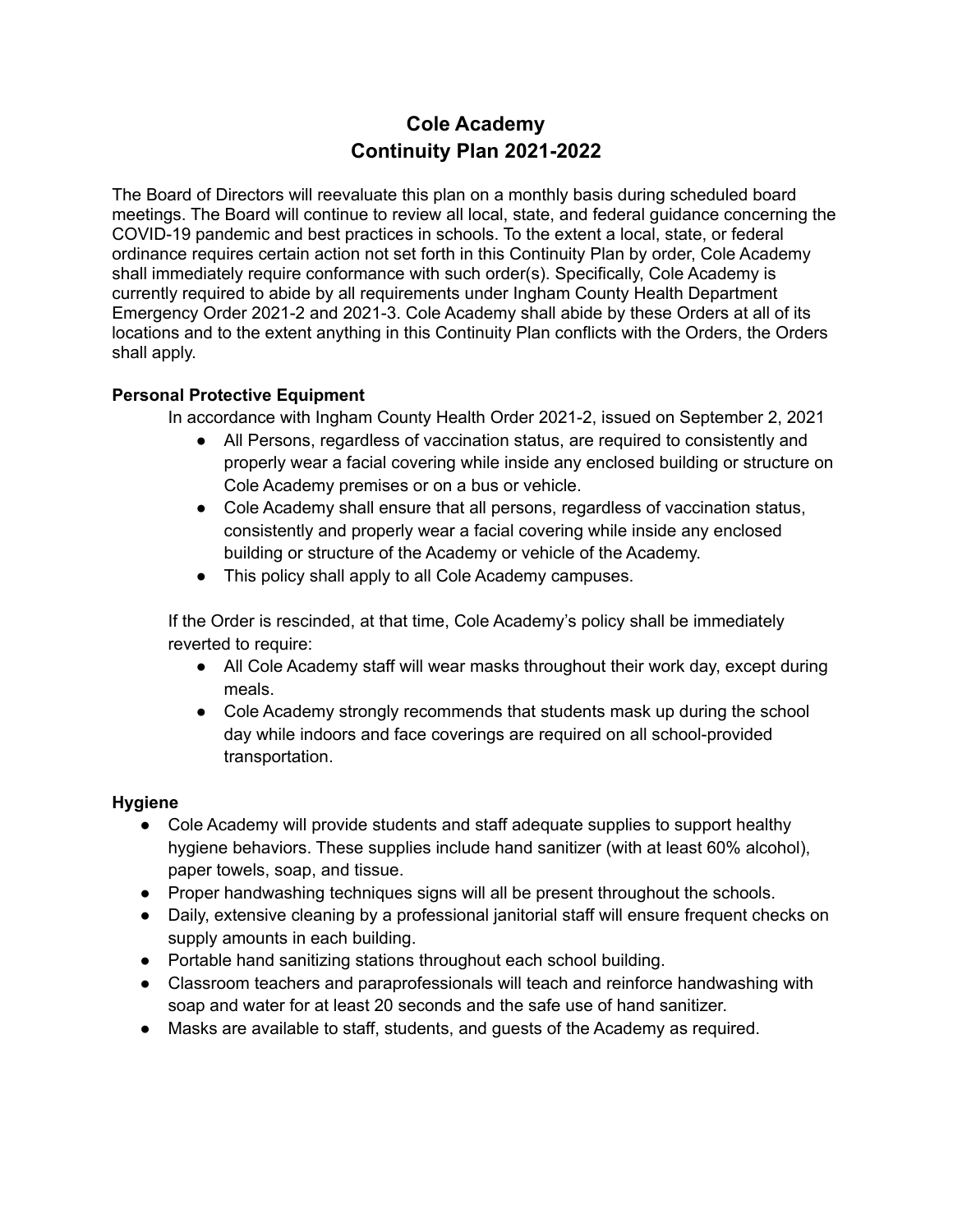# **Cole Academy Continuity Plan 2021-2022**

The Board of Directors will reevaluate this plan on a monthly basis during scheduled board meetings. The Board will continue to review all local, state, and federal guidance concerning the COVID-19 pandemic and best practices in schools. To the extent a local, state, or federal ordinance requires certain action not set forth in this Continuity Plan by order, Cole Academy shall immediately require conformance with such order(s). Specifically, Cole Academy is currently required to abide by all requirements under Ingham County Health Department Emergency Order 2021-2 and 2021-3. Cole Academy shall abide by these Orders at all of its locations and to the extent anything in this Continuity Plan conflicts with the Orders, the Orders shall apply.

## **Personal Protective Equipment**

In accordance with Ingham County Health Order 2021-2, issued on September 2, 2021

- All Persons, regardless of vaccination status, are required to consistently and properly wear a facial covering while inside any enclosed building or structure on Cole Academy premises or on a bus or vehicle.
- Cole Academy shall ensure that all persons, regardless of vaccination status, consistently and properly wear a facial covering while inside any enclosed building or structure of the Academy or vehicle of the Academy.
- This policy shall apply to all Cole Academy campuses.

If the Order is rescinded, at that time, Cole Academy's policy shall be immediately reverted to require:

- All Cole Academy staff will wear masks throughout their work day, except during meals.
- Cole Academy strongly recommends that students mask up during the school day while indoors and face coverings are required on all school-provided transportation.

## **Hygiene**

- Cole Academy will provide students and staff adequate supplies to support healthy hygiene behaviors. These supplies include hand sanitizer (with at least 60% alcohol), paper towels, soap, and tissue.
- Proper handwashing techniques signs will all be present throughout the schools.
- Daily, extensive cleaning by a professional janitorial staff will ensure frequent checks on supply amounts in each building.
- Portable hand sanitizing stations throughout each school building.
- Classroom teachers and paraprofessionals will teach and reinforce handwashing with soap and water for at least 20 seconds and the safe use of hand sanitizer.
- Masks are available to staff, students, and guests of the Academy as required.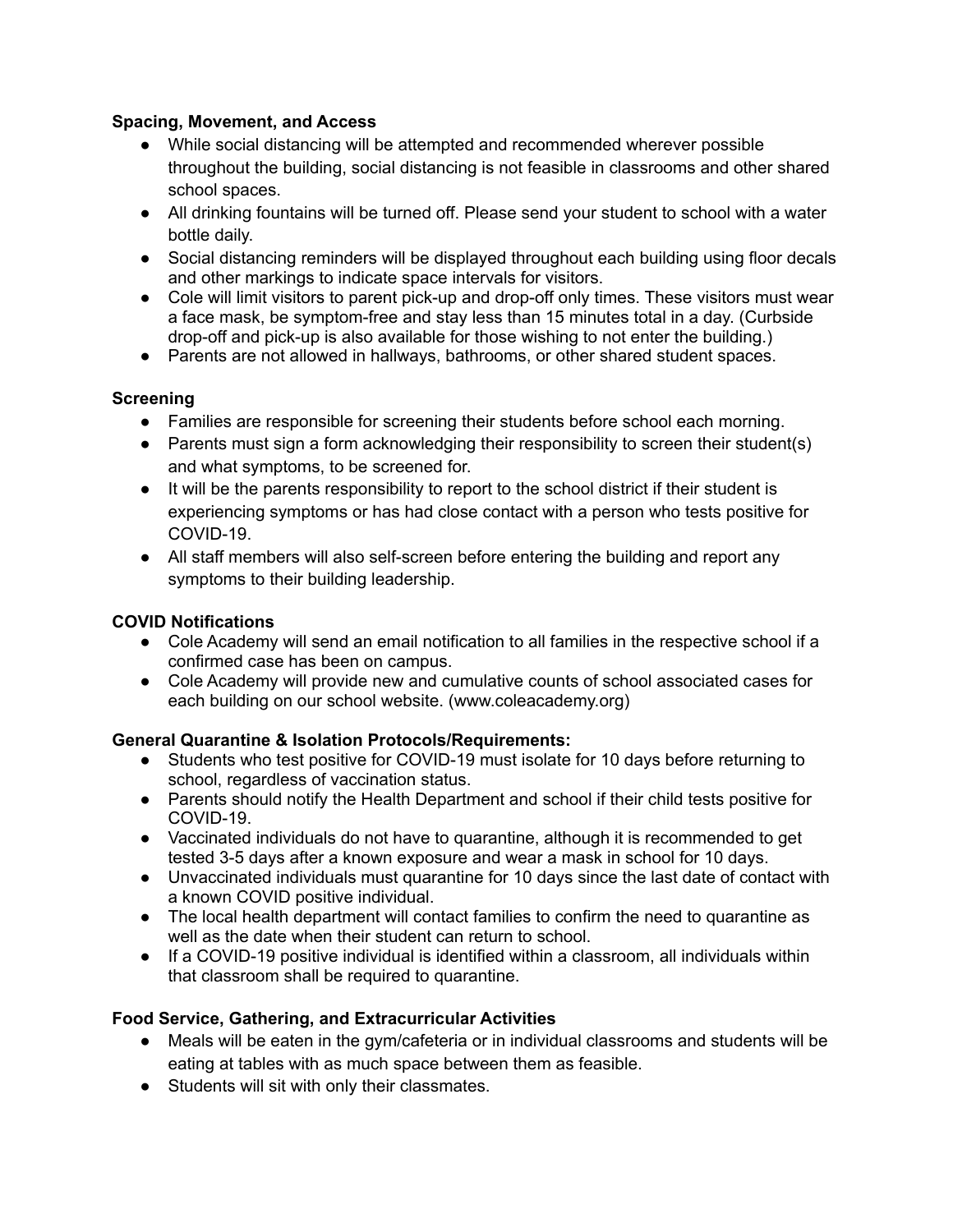#### **Spacing, Movement, and Access**

- While social distancing will be attempted and recommended wherever possible throughout the building, social distancing is not feasible in classrooms and other shared school spaces.
- All drinking fountains will be turned off. Please send your student to school with a water bottle daily.
- Social distancing reminders will be displayed throughout each building using floor decals and other markings to indicate space intervals for visitors.
- Cole will limit visitors to parent pick-up and drop-off only times. These visitors must wear a face mask, be symptom-free and stay less than 15 minutes total in a day. (Curbside drop-off and pick-up is also available for those wishing to not enter the building.)
- Parents are not allowed in hallways, bathrooms, or other shared student spaces.

## **Screening**

- Families are responsible for screening their students before school each morning.
- Parents must sign a form acknowledging their responsibility to screen their student(s) and what symptoms, to be screened for.
- It will be the parents responsibility to report to the school district if their student is experiencing symptoms or has had close contact with a person who tests positive for COVID-19.
- All staff members will also self-screen before entering the building and report any symptoms to their building leadership.

#### **COVID Notifications**

- Cole Academy will send an email notification to all families in the respective school if a confirmed case has been on campus.
- Cole Academy will provide new and cumulative counts of school associated cases for each building on our school website. (www.coleacademy.org)

## **General Quarantine & Isolation Protocols/Requirements:**

- Students who test positive for COVID-19 must isolate for 10 days before returning to school, regardless of vaccination status.
- Parents should notify the Health Department and school if their child tests positive for COVID-19.
- Vaccinated individuals do not have to quarantine, although it is recommended to get tested 3-5 days after a known exposure and wear a mask in school for 10 days.
- Unvaccinated individuals must quarantine for 10 days since the last date of contact with a known COVID positive individual.
- The local health department will contact families to confirm the need to quarantine as well as the date when their student can return to school.
- If a COVID-19 positive individual is identified within a classroom, all individuals within that classroom shall be required to quarantine.

## **Food Service, Gathering, and Extracurricular Activities**

- Meals will be eaten in the gym/cafeteria or in individual classrooms and students will be eating at tables with as much space between them as feasible.
- Students will sit with only their classmates.